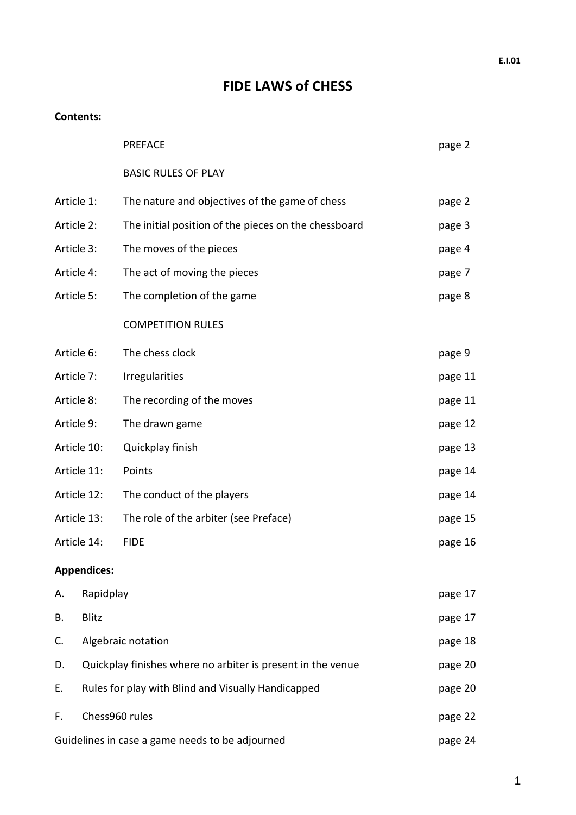# **FIDE LAWS of CHESS**

#### **Contents:**

|             |                                                    | <b>PREFACE</b>                                              | page 2  |  |  |
|-------------|----------------------------------------------------|-------------------------------------------------------------|---------|--|--|
|             |                                                    | <b>BASIC RULES OF PLAY</b>                                  |         |  |  |
| Article 1:  |                                                    | The nature and objectives of the game of chess              | page 2  |  |  |
| Article 2:  |                                                    | The initial position of the pieces on the chessboard        | page 3  |  |  |
| Article 3:  |                                                    | The moves of the pieces                                     |         |  |  |
| Article 4:  |                                                    | The act of moving the pieces                                |         |  |  |
| Article 5:  |                                                    | The completion of the game                                  |         |  |  |
|             |                                                    | <b>COMPETITION RULES</b>                                    |         |  |  |
| Article 6:  |                                                    | The chess clock                                             | page 9  |  |  |
| Article 7:  |                                                    | <b>Irregularities</b>                                       | page 11 |  |  |
| Article 8:  |                                                    | The recording of the moves                                  | page 11 |  |  |
| Article 9:  |                                                    | The drawn game                                              | page 12 |  |  |
|             | Article 10:                                        | Quickplay finish                                            | page 13 |  |  |
|             | Article 11:                                        | Points                                                      | page 14 |  |  |
| Article 12: |                                                    | The conduct of the players                                  |         |  |  |
| Article 13: |                                                    | The role of the arbiter (see Preface)                       |         |  |  |
|             | Article 14:                                        | <b>FIDE</b>                                                 | page 16 |  |  |
|             | <b>Appendices:</b>                                 |                                                             |         |  |  |
| А.          | Rapidplay                                          |                                                             |         |  |  |
| В.          | Blitz                                              |                                                             |         |  |  |
| C.          | Algebraic notation                                 |                                                             | page 18 |  |  |
| D.          |                                                    | Quickplay finishes where no arbiter is present in the venue | page 20 |  |  |
| Ε.          | Rules for play with Blind and Visually Handicapped |                                                             |         |  |  |
| F.          | Chess960 rules                                     |                                                             |         |  |  |
|             |                                                    | Guidelines in case a game needs to be adjourned             | page 24 |  |  |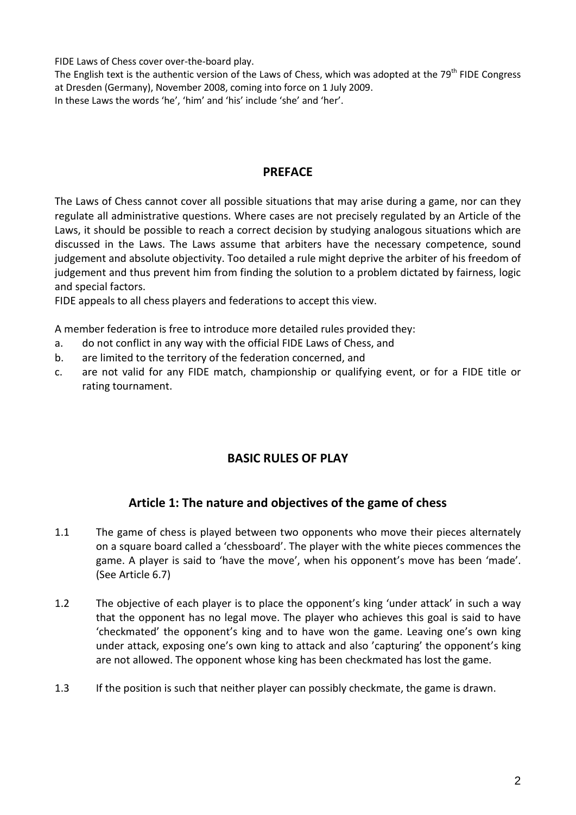FIDE Laws of Chess cover over-the-board play.

The English text is the authentic version of the Laws of Chess, which was adopted at the  $79<sup>th</sup>$  FIDE Congress at Dresden (Germany), November 2008, coming into force on 1 July 2009.

In these Laws the words 'he', 'him' and 'his' include 'she' and 'her'.

#### **PREFACE**

The Laws of Chess cannot cover all possible situations that may arise during a game, nor can they regulate all administrative questions. Where cases are not precisely regulated by an Article of the Laws, it should be possible to reach a correct decision by studying analogous situations which are discussed in the Laws. The Laws assume that arbiters have the necessary competence, sound judgement and absolute objectivity. Too detailed a rule might deprive the arbiter of his freedom of judgement and thus prevent him from finding the solution to a problem dictated by fairness, logic and special factors.

FIDE appeals to all chess players and federations to accept this view.

A member federation is free to introduce more detailed rules provided they:

- a. do not conflict in any way with the official FIDE Laws of Chess, and
- b. are limited to the territory of the federation concerned, and
- c. are not valid for any FIDE match, championship or qualifying event, or for a FIDE title or rating tournament.

### **BASIC RULES OF PLAY**

### **Article 1: The nature and objectives of the game of chess**

- 1.1 The game of chess is played between two opponents who move their pieces alternately on a square board called a 'chessboard'. The player with the white pieces commences the game. A player is said to 'have the move', when his opponent's move has been 'made'. (See Article 6.7)
- 1.2 The objective of each player is to place the opponent's king 'under attack' in such a way that the opponent has no legal move. The player who achieves this goal is said to have 'checkmated' the opponent's king and to have won the game. Leaving one's own king under attack, exposing one's own king to attack and also 'capturing' the opponent's king are not allowed. The opponent whose king has been checkmated has lost the game.
- 1.3 If the position is such that neither player can possibly checkmate, the game is drawn.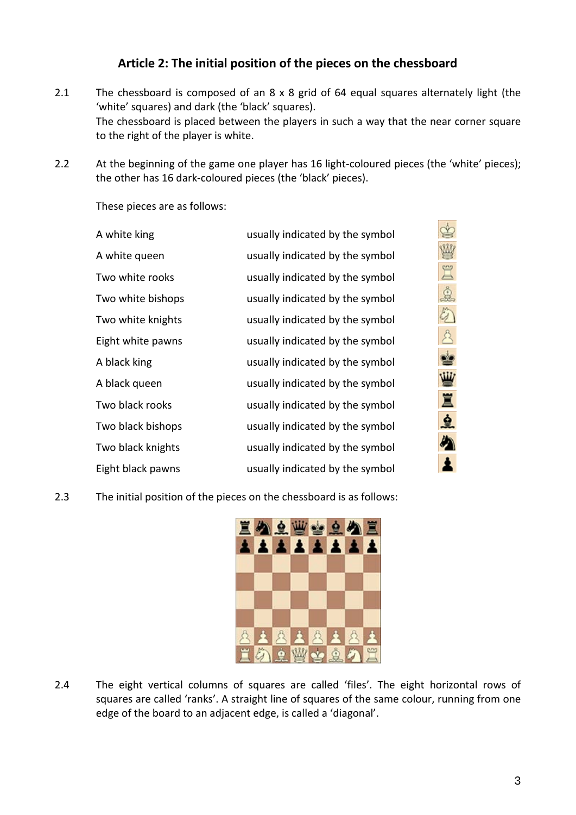### **Article 2: The initial position of the pieces on the chessboard**

- 2.1 The chessboard is composed of an 8 x 8 grid of 64 equal squares alternately light (the 'white' squares) and dark (the 'black' squares). The chessboard is placed between the players in such a way that the near corner square to the right of the player is white.
- 2.2 At the beginning of the game one player has 16 light-coloured pieces (the 'white' pieces); the other has 16 dark-coloured pieces (the 'black' pieces).

These pieces are as follows:

| A white king      | usually indicated by the symbol |
|-------------------|---------------------------------|
| A white queen     | usually indicated by the symbol |
| Two white rooks   | usually indicated by the symbol |
| Two white bishops | usually indicated by the symbol |
| Two white knights | usually indicated by the symbol |
| Eight white pawns | usually indicated by the symbol |
| A black king      | usually indicated by the symbol |
| A black queen     | usually indicated by the symbol |
| Two black rooks   | usually indicated by the symbol |
| Two black bishops | usually indicated by the symbol |
| Two black knights | usually indicated by the symbol |
| Eight black pawns | usually indicated by the symbol |

2.3 The initial position of the pieces on the chessboard is as follows:



2.4 The eight vertical columns of squares are called 'files'. The eight horizontal rows of squares are called 'ranks'. A straight line of squares of the same colour, running from one edge of the board to an adjacent edge, is called a 'diagonal'.

李三鱼

A DA

W

Ï

요

め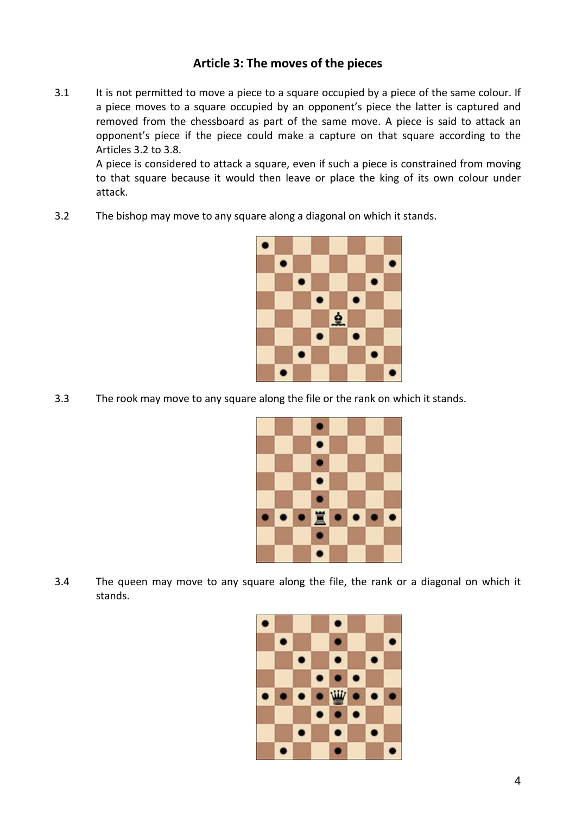### **Article 3: The moves of the pieces**

3.1 It is not permitted to move a piece to a square occupied by a piece of the same colour. If a piece moves to a square occupied by an opponent's piece the latter is captured and removed from the chessboard as part of the same move. A piece is said to attack an opponent's piece if the piece could make a capture on that square according to the Articles 3.2 to 3.8.

A piece is considered to attack a square, even if such a piece is constrained from moving to that square because it would then leave or place the king of its own colour under attack.

3.2 The bishop may move to any square along a diagonal on which it stands.



3.3 The rook may move to any square along the file or the rank on which it stands.



3.4 The queen may move to any square along the file, the rank or a diagonal on which it stands.

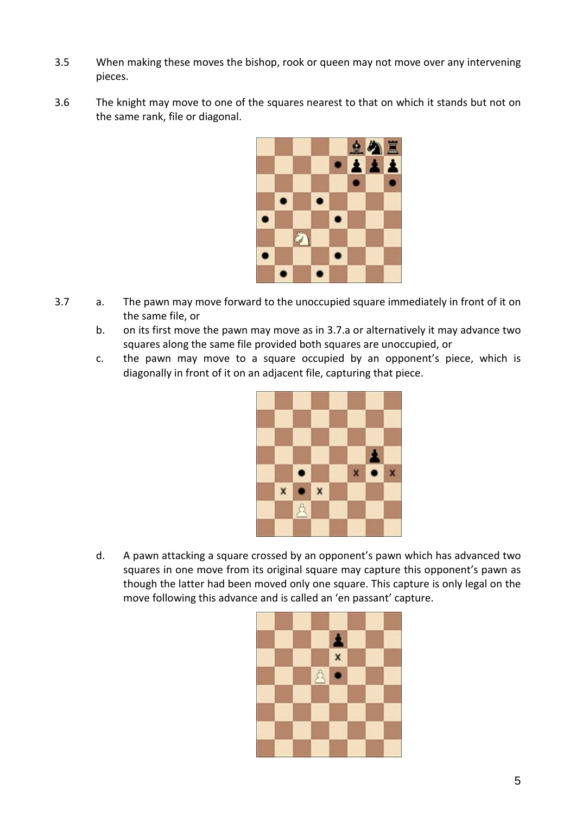- 3.5 When making these moves the bishop, rook or queen may not move over any intervening pieces.
- 3.6 The knight may move to one of the squares nearest to that on which it stands but not on the same rank, file or diagonal.



- 3.7 a. The pawn may move forward to the unoccupied square immediately in front of it on the same file, or
	- b. on its first move the pawn may move as in 3.7.a or alternatively it may advance two squares along the same file provided both squares are unoccupied, or
	- c. the pawn may move to a square occupied by an opponent's piece, which is diagonally in front of it on an adjacent file, capturing that piece.



d. A pawn attacking a square crossed by an opponent's pawn which has advanced two squares in one move from its original square may capture this opponent's pawn as though the latter had been moved only one square. This capture is only legal on the move following this advance and is called an 'en passant' capture.

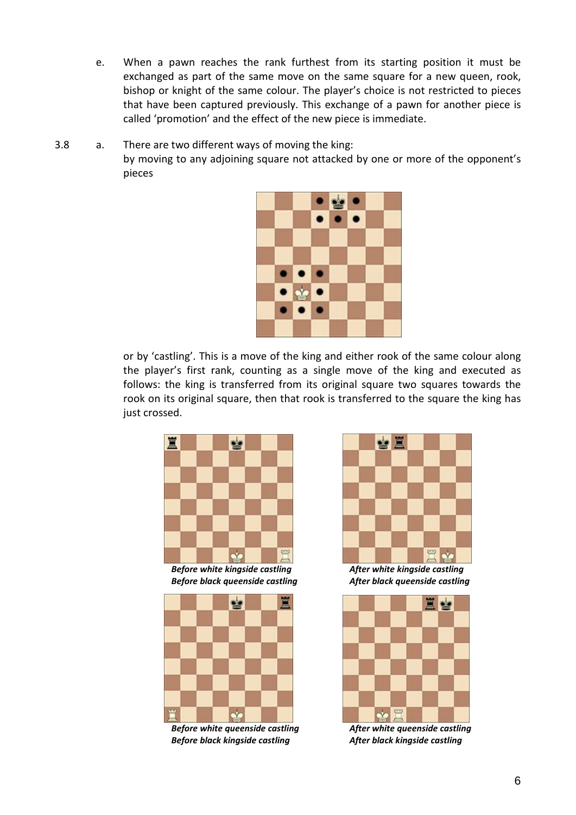- e. When a pawn reaches the rank furthest from its starting position it must be exchanged as part of the same move on the same square for a new queen, rook, bishop or knight of the same colour. The player's choice is not restricted to pieces that have been captured previously. This exchange of a pawn for another piece is called 'promotion' and the effect of the new piece is immediate.
- 3.8 a. There are two different ways of moving the king: by moving to any adjoining square not attacked by one or more of the opponent's pieces



or by 'castling'. This is a move of the king and either rook of the same colour along the player's first rank, counting as a single move of the king and executed as follows: the king is transferred from its original square two squares towards the rook on its original square, then that rook is transferred to the square the king has just crossed.



*Before white kingside castling After white kingside castling Before black queenside castling After black queenside castling*



*Before white queenside castling After white queenside castling Before black kingside castling After black kingside castling*



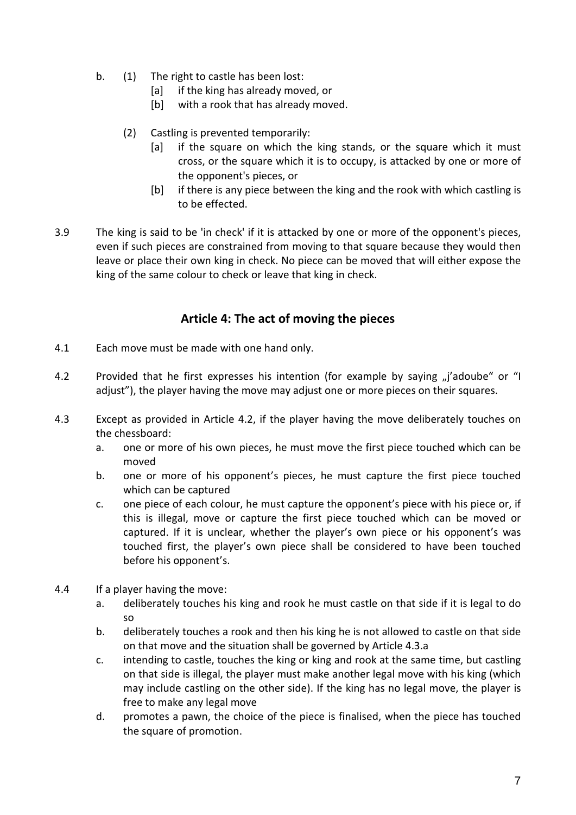- b. (1) The right to castle has been lost:
	- [a] if the king has already moved, or
	- [b] with a rook that has already moved.
	- (2) Castling is prevented temporarily:
		- [a] if the square on which the king stands, or the square which it must cross, or the square which it is to occupy, is attacked by one or more of the opponent's pieces, or
		- [b] if there is any piece between the king and the rook with which castling is to be effected.
- 3.9 The king is said to be 'in check' if it is attacked by one or more of the opponent's pieces, even if such pieces are constrained from moving to that square because they would then leave or place their own king in check. No piece can be moved that will either expose the king of the same colour to check or leave that king in check.

#### **Article 4: The act of moving the pieces**

- 4.1 Each move must be made with one hand only.
- 4.2 Provided that he first expresses his intention (for example by saying "i'adoube" or "I adjust"), the player having the move may adjust one or more pieces on their squares.
- 4.3 Except as provided in Article 4.2, if the player having the move deliberately touches on the chessboard:
	- a. one or more of his own pieces, he must move the first piece touched which can be moved
	- b. one or more of his opponent's pieces, he must capture the first piece touched which can be captured
	- c. one piece of each colour, he must capture the opponent's piece with his piece or, if this is illegal, move or capture the first piece touched which can be moved or captured. If it is unclear, whether the player's own piece or his opponent's was touched first, the player's own piece shall be considered to have been touched before his opponent's.
- 4.4 If a player having the move:
	- a. deliberately touches his king and rook he must castle on that side if it is legal to do so
	- b. deliberately touches a rook and then his king he is not allowed to castle on that side on that move and the situation shall be governed by Article 4.3.a
	- c. intending to castle, touches the king or king and rook at the same time, but castling on that side is illegal, the player must make another legal move with his king (which may include castling on the other side). If the king has no legal move, the player is free to make any legal move
	- d. promotes a pawn, the choice of the piece is finalised, when the piece has touched the square of promotion.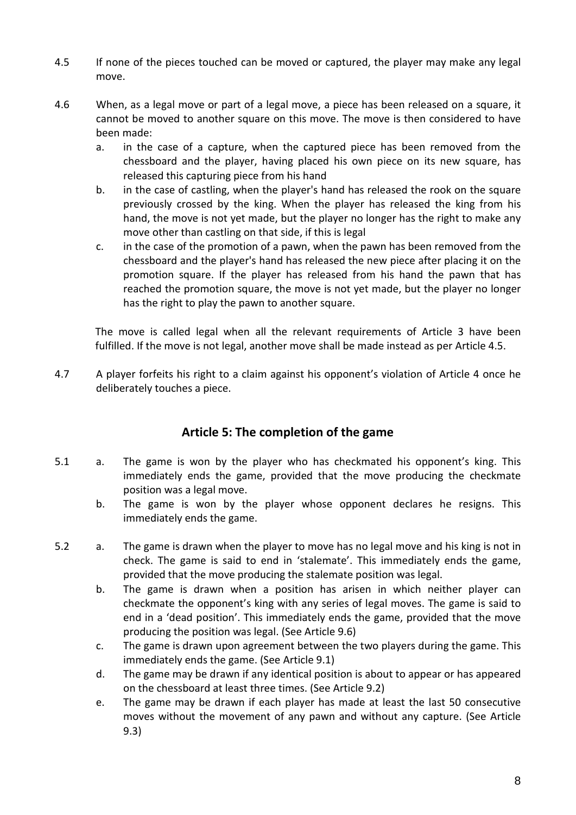- 4.5 If none of the pieces touched can be moved or captured, the player may make any legal move.
- 4.6 When, as a legal move or part of a legal move, a piece has been released on a square, it cannot be moved to another square on this move. The move is then considered to have been made:
	- a. in the case of a capture, when the captured piece has been removed from the chessboard and the player, having placed his own piece on its new square, has released this capturing piece from his hand
	- b. in the case of castling, when the player's hand has released the rook on the square previously crossed by the king. When the player has released the king from his hand, the move is not yet made, but the player no longer has the right to make any move other than castling on that side, if this is legal
	- c. in the case of the promotion of a pawn, when the pawn has been removed from the chessboard and the player's hand has released the new piece after placing it on the promotion square. If the player has released from his hand the pawn that has reached the promotion square, the move is not yet made, but the player no longer has the right to play the pawn to another square.

The move is called legal when all the relevant requirements of Article 3 have been fulfilled. If the move is not legal, another move shall be made instead as per Article 4.5.

4.7 A player forfeits his right to a claim against his opponent's violation of Article 4 once he deliberately touches a piece.

### **Article 5: The completion of the game**

- 5.1 a. The game is won by the player who has checkmated his opponent's king. This immediately ends the game, provided that the move producing the checkmate position was a legal move.
	- b. The game is won by the player whose opponent declares he resigns. This immediately ends the game.
- 5.2 a. The game is drawn when the player to move has no legal move and his king is not in check. The game is said to end in 'stalemate'. This immediately ends the game, provided that the move producing the stalemate position was legal.
	- b. The game is drawn when a position has arisen in which neither player can checkmate the opponent's king with any series of legal moves. The game is said to end in a 'dead position'. This immediately ends the game, provided that the move producing the position was legal. (See Article 9.6)
	- c. The game is drawn upon agreement between the two players during the game. This immediately ends the game. (See Article 9.1)
	- d. The game may be drawn if any identical position is about to appear or has appeared on the chessboard at least three times. (See Article 9.2)
	- e. The game may be drawn if each player has made at least the last 50 consecutive moves without the movement of any pawn and without any capture. (See Article 9.3)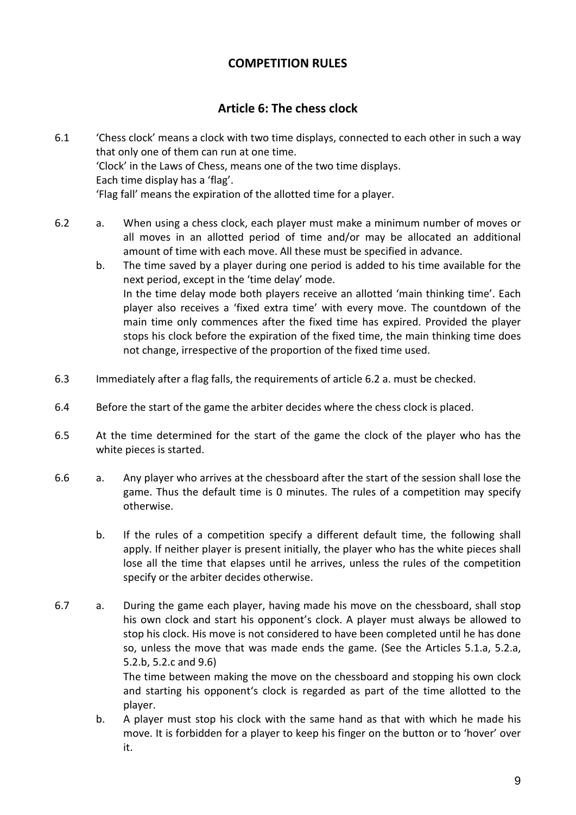### **COMPETITION RULES**

### **Article 6: The chess clock**

- 6.1 'Chess clock' means a clock with two time displays, connected to each other in such a way that only one of them can run at one time. 'Clock' in the Laws of Chess, means one of the two time displays. Each time display has a 'flag'. 'Flag fall' means the expiration of the allotted time for a player.
- 6.2 a. When using a chess clock, each player must make a minimum number of moves or all moves in an allotted period of time and/or may be allocated an additional amount of time with each move. All these must be specified in advance.
	- b. The time saved by a player during one period is added to his time available for the next period, except in the 'time delay' mode. In the time delay mode both players receive an allotted 'main thinking time'. Each player also receives a 'fixed extra time' with every move. The countdown of the main time only commences after the fixed time has expired. Provided the player stops his clock before the expiration of the fixed time, the main thinking time does not change, irrespective of the proportion of the fixed time used.
- 6.3 Immediately after a flag falls, the requirements of article 6.2 a. must be checked.
- 6.4 Before the start of the game the arbiter decides where the chess clock is placed.
- 6.5 At the time determined for the start of the game the clock of the player who has the white pieces is started.
- 6.6 a. Any player who arrives at the chessboard after the start of the session shall lose the game. Thus the default time is 0 minutes. The rules of a competition may specify otherwise.
	- b. If the rules of a competition specify a different default time, the following shall apply. If neither player is present initially, the player who has the white pieces shall lose all the time that elapses until he arrives, unless the rules of the competition specify or the arbiter decides otherwise.
- 6.7 a. During the game each player, having made his move on the chessboard, shall stop his own clock and start his opponent's clock. A player must always be allowed to stop his clock. His move is not considered to have been completed until he has done so, unless the move that was made ends the game. (See the Articles 5.1.a, 5.2.a, 5.2.b, 5.2.c and 9.6) The time between making the move on the chessboard and stopping his own clock and starting his opponent's clock is regarded as part of the time allotted to the player.
	- b. A player must stop his clock with the same hand as that with which he made his move. It is forbidden for a player to keep his finger on the button or to 'hover' over it.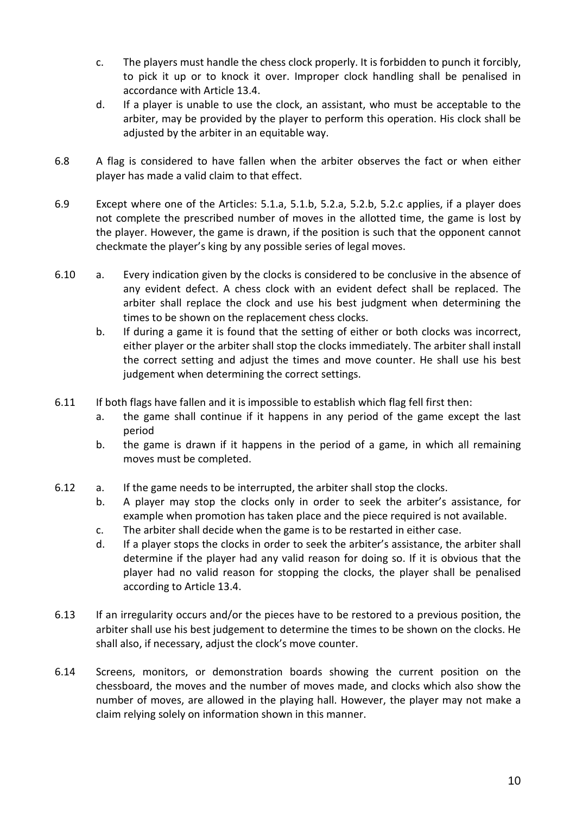- c. The players must handle the chess clock properly. It is forbidden to punch it forcibly, to pick it up or to knock it over. Improper clock handling shall be penalised in accordance with Article 13.4.
- d. If a player is unable to use the clock, an assistant, who must be acceptable to the arbiter, may be provided by the player to perform this operation. His clock shall be adjusted by the arbiter in an equitable way.
- 6.8 A flag is considered to have fallen when the arbiter observes the fact or when either player has made a valid claim to that effect.
- 6.9 Except where one of the Articles: 5.1.a, 5.1.b, 5.2.a, 5.2.b, 5.2.c applies, if a player does not complete the prescribed number of moves in the allotted time, the game is lost by the player. However, the game is drawn, if the position is such that the opponent cannot checkmate the player's king by any possible series of legal moves.
- 6.10 a. Every indication given by the clocks is considered to be conclusive in the absence of any evident defect. A chess clock with an evident defect shall be replaced. The arbiter shall replace the clock and use his best judgment when determining the times to be shown on the replacement chess clocks.
	- b. If during a game it is found that the setting of either or both clocks was incorrect, either player or the arbiter shall stop the clocks immediately. The arbiter shall install the correct setting and adjust the times and move counter. He shall use his best judgement when determining the correct settings.
- 6.11 If both flags have fallen and it is impossible to establish which flag fell first then:
	- a. the game shall continue if it happens in any period of the game except the last period
	- b. the game is drawn if it happens in the period of a game, in which all remaining moves must be completed.
- 6.12 a. If the game needs to be interrupted, the arbiter shall stop the clocks.
	- b. A player may stop the clocks only in order to seek the arbiter's assistance, for example when promotion has taken place and the piece required is not available.
	- c. The arbiter shall decide when the game is to be restarted in either case.
	- d. If a player stops the clocks in order to seek the arbiter's assistance, the arbiter shall determine if the player had any valid reason for doing so. If it is obvious that the player had no valid reason for stopping the clocks, the player shall be penalised according to Article 13.4.
- 6.13 If an irregularity occurs and/or the pieces have to be restored to a previous position, the arbiter shall use his best judgement to determine the times to be shown on the clocks. He shall also, if necessary, adjust the clock's move counter.
- 6.14 Screens, monitors, or demonstration boards showing the current position on the chessboard, the moves and the number of moves made, and clocks which also show the number of moves, are allowed in the playing hall. However, the player may not make a claim relying solely on information shown in this manner.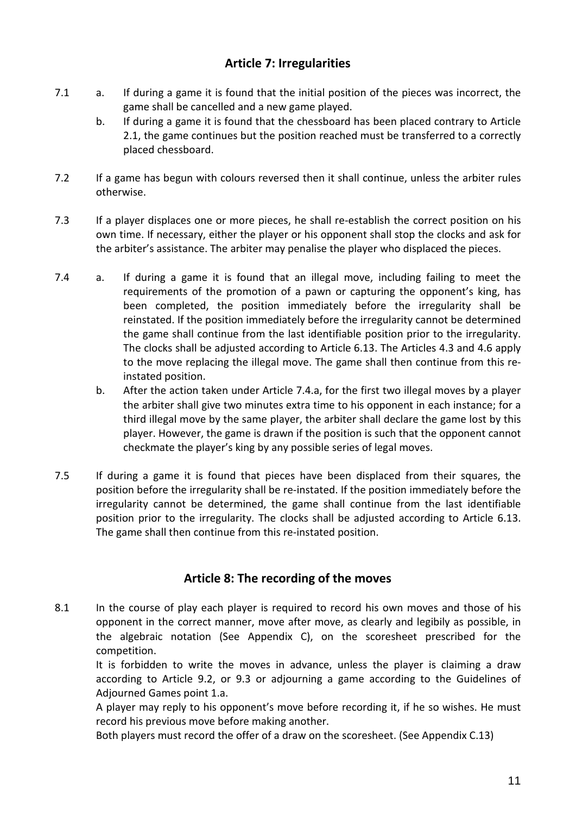### **Article 7: Irregularities**

- 7.1 a. If during a game it is found that the initial position of the pieces was incorrect, the game shall be cancelled and a new game played.
	- b. If during a game it is found that the chessboard has been placed contrary to Article 2.1, the game continues but the position reached must be transferred to a correctly placed chessboard.
- 7.2 If a game has begun with colours reversed then it shall continue, unless the arbiter rules otherwise.
- 7.3 If a player displaces one or more pieces, he shall re-establish the correct position on his own time. If necessary, either the player or his opponent shall stop the clocks and ask for the arbiter's assistance. The arbiter may penalise the player who displaced the pieces.
- 7.4 a. If during a game it is found that an illegal move, including failing to meet the requirements of the promotion of a pawn or capturing the opponent's king, has been completed, the position immediately before the irregularity shall be reinstated. If the position immediately before the irregularity cannot be determined the game shall continue from the last identifiable position prior to the irregularity. The clocks shall be adjusted according to Article 6.13. The Articles 4.3 and 4.6 apply to the move replacing the illegal move. The game shall then continue from this reinstated position.
	- b. After the action taken under Article 7.4.a, for the first two illegal moves by a player the arbiter shall give two minutes extra time to his opponent in each instance; for a third illegal move by the same player, the arbiter shall declare the game lost by this player. However, the game is drawn if the position is such that the opponent cannot checkmate the player's king by any possible series of legal moves.
- 7.5 If during a game it is found that pieces have been displaced from their squares, the position before the irregularity shall be re-instated. If the position immediately before the irregularity cannot be determined, the game shall continue from the last identifiable position prior to the irregularity. The clocks shall be adjusted according to Article 6.13. The game shall then continue from this re-instated position.

#### **Article 8: The recording of the moves**

8.1 In the course of play each player is required to record his own moves and those of his opponent in the correct manner, move after move, as clearly and legibily as possible, in the algebraic notation (See Appendix C), on the scoresheet prescribed for the competition.

It is forbidden to write the moves in advance, unless the player is claiming a draw according to Article 9.2, or 9.3 or adjourning a game according to the Guidelines of Adjourned Games point 1.a.

A player may reply to his opponent's move before recording it, if he so wishes. He must record his previous move before making another.

Both players must record the offer of a draw on the scoresheet. (See Appendix C.13)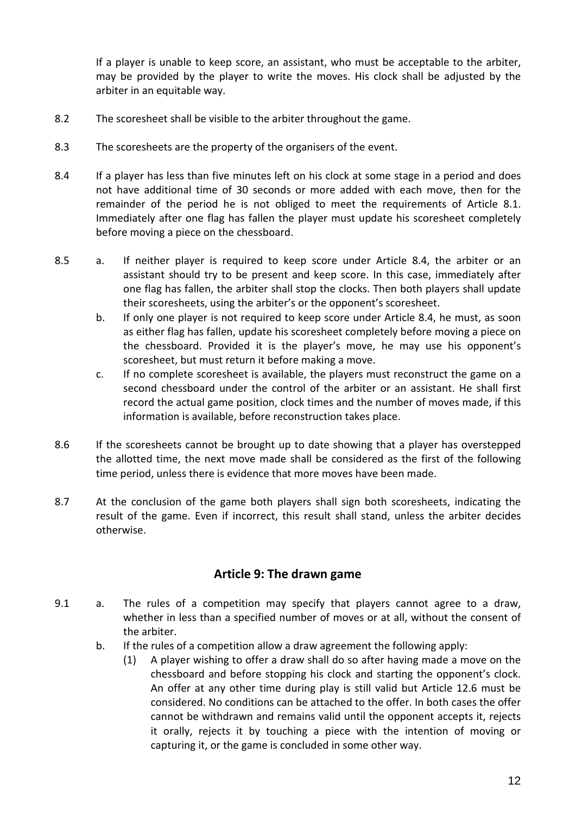If a player is unable to keep score, an assistant, who must be acceptable to the arbiter, may be provided by the player to write the moves. His clock shall be adjusted by the arbiter in an equitable way.

- 8.2 The scoresheet shall be visible to the arbiter throughout the game.
- 8.3 The scoresheets are the property of the organisers of the event.
- 8.4 If a player has less than five minutes left on his clock at some stage in a period and does not have additional time of 30 seconds or more added with each move, then for the remainder of the period he is not obliged to meet the requirements of Article 8.1. Immediately after one flag has fallen the player must update his scoresheet completely before moving a piece on the chessboard.
- 8.5 a. If neither player is required to keep score under Article 8.4, the arbiter or an assistant should try to be present and keep score. In this case, immediately after one flag has fallen, the arbiter shall stop the clocks. Then both players shall update their scoresheets, using the arbiter's or the opponent's scoresheet.
	- b. If only one player is not required to keep score under Article 8.4, he must, as soon as either flag has fallen, update his scoresheet completely before moving a piece on the chessboard. Provided it is the player's move, he may use his opponent's scoresheet, but must return it before making a move.
	- c. If no complete scoresheet is available, the players must reconstruct the game on a second chessboard under the control of the arbiter or an assistant. He shall first record the actual game position, clock times and the number of moves made, if this information is available, before reconstruction takes place.
- 8.6 If the scoresheets cannot be brought up to date showing that a player has overstepped the allotted time, the next move made shall be considered as the first of the following time period, unless there is evidence that more moves have been made.
- 8.7 At the conclusion of the game both players shall sign both scoresheets, indicating the result of the game. Even if incorrect, this result shall stand, unless the arbiter decides otherwise.

#### **Article 9: The drawn game**

- 9.1 a. The rules of a competition may specify that players cannot agree to a draw, whether in less than a specified number of moves or at all, without the consent of the arbiter.
	- b. If the rules of a competition allow a draw agreement the following apply:
		- (1) A player wishing to offer a draw shall do so after having made a move on the chessboard and before stopping his clock and starting the opponent's clock. An offer at any other time during play is still valid but Article 12.6 must be considered. No conditions can be attached to the offer. In both cases the offer cannot be withdrawn and remains valid until the opponent accepts it, rejects it orally, rejects it by touching a piece with the intention of moving or capturing it, or the game is concluded in some other way.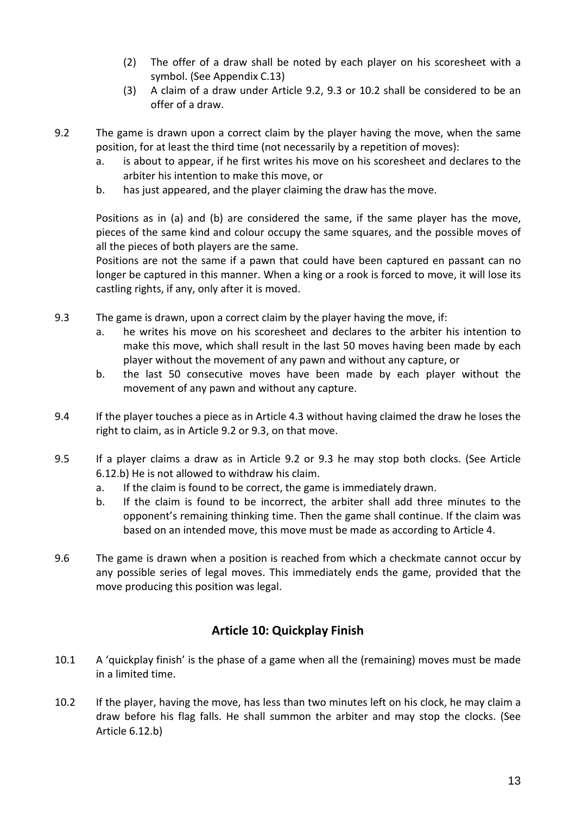- (2) The offer of a draw shall be noted by each player on his scoresheet with a symbol. (See Appendix C.13)
- (3) A claim of a draw under Article 9.2, 9.3 or 10.2 shall be considered to be an offer of a draw.
- 9.2 The game is drawn upon a correct claim by the player having the move, when the same position, for at least the third time (not necessarily by a repetition of moves):
	- a. is about to appear, if he first writes his move on his scoresheet and declares to the arbiter his intention to make this move, or
	- b. has just appeared, and the player claiming the draw has the move.

Positions as in (a) and (b) are considered the same, if the same player has the move, pieces of the same kind and colour occupy the same squares, and the possible moves of all the pieces of both players are the same.

Positions are not the same if a pawn that could have been captured en passant can no longer be captured in this manner. When a king or a rook is forced to move, it will lose its castling rights, if any, only after it is moved.

- 9.3 The game is drawn, upon a correct claim by the player having the move, if:
	- a. he writes his move on his scoresheet and declares to the arbiter his intention to make this move, which shall result in the last 50 moves having been made by each player without the movement of any pawn and without any capture, or
	- b. the last 50 consecutive moves have been made by each player without the movement of any pawn and without any capture.
- 9.4 If the player touches a piece as in Article 4.3 without having claimed the draw he loses the right to claim, as in Article 9.2 or 9.3, on that move.
- 9.5 If a player claims a draw as in Article 9.2 or 9.3 he may stop both clocks. (See Article 6.12.b) He is not allowed to withdraw his claim.
	- a. If the claim is found to be correct, the game is immediately drawn.
	- b. If the claim is found to be incorrect, the arbiter shall add three minutes to the opponent's remaining thinking time. Then the game shall continue. If the claim was based on an intended move, this move must be made as according to Article 4.
- 9.6 The game is drawn when a position is reached from which a checkmate cannot occur by any possible series of legal moves. This immediately ends the game, provided that the move producing this position was legal.

# **Article 10: Quickplay Finish**

- 10.1 A 'quickplay finish' is the phase of a game when all the (remaining) moves must be made in a limited time.
- 10.2 If the player, having the move, has less than two minutes left on his clock, he may claim a draw before his flag falls. He shall summon the arbiter and may stop the clocks. (See Article 6.12.b)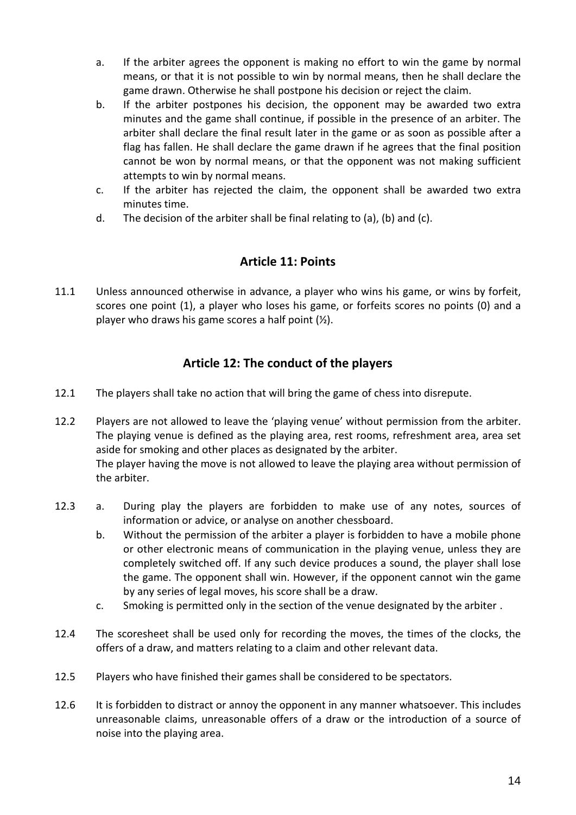- a. If the arbiter agrees the opponent is making no effort to win the game by normal means, or that it is not possible to win by normal means, then he shall declare the game drawn. Otherwise he shall postpone his decision or reject the claim.
- b. If the arbiter postpones his decision, the opponent may be awarded two extra minutes and the game shall continue, if possible in the presence of an arbiter. The arbiter shall declare the final result later in the game or as soon as possible after a flag has fallen. He shall declare the game drawn if he agrees that the final position cannot be won by normal means, or that the opponent was not making sufficient attempts to win by normal means.
- c. If the arbiter has rejected the claim, the opponent shall be awarded two extra minutes time.
- d. The decision of the arbiter shall be final relating to (a), (b) and (c).

### **Article 11: Points**

11.1 Unless announced otherwise in advance, a player who wins his game, or wins by forfeit, scores one point (1), a player who loses his game, or forfeits scores no points (0) and a player who draws his game scores a half point (½).

### **Article 12: The conduct of the players**

12.1 The players shall take no action that will bring the game of chess into disrepute.

12.2 Players are not allowed to leave the 'playing venue' without permission from the arbiter. The playing venue is defined as the playing area, rest rooms, refreshment area, area set aside for smoking and other places as designated by the arbiter. The player having the move is not allowed to leave the playing area without permission of the arbiter.

- 12.3 a. During play the players are forbidden to make use of any notes, sources of information or advice, or analyse on another chessboard.
	- b. Without the permission of the arbiter a player is forbidden to have a mobile phone or other electronic means of communication in the playing venue, unless they are completely switched off. If any such device produces a sound, the player shall lose the game. The opponent shall win. However, if the opponent cannot win the game by any series of legal moves, his score shall be a draw.
	- c. Smoking is permitted only in the section of the venue designated by the arbiter .
- 12.4 The scoresheet shall be used only for recording the moves, the times of the clocks, the offers of a draw, and matters relating to a claim and other relevant data.
- 12.5 Players who have finished their games shall be considered to be spectators.
- 12.6 It is forbidden to distract or annoy the opponent in any manner whatsoever. This includes unreasonable claims, unreasonable offers of a draw or the introduction of a source of noise into the playing area.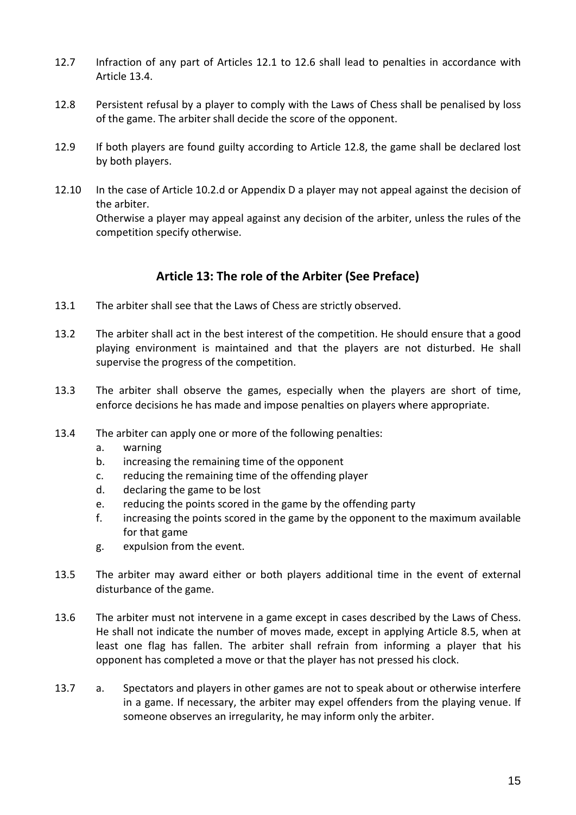- 12.7 Infraction of any part of Articles 12.1 to 12.6 shall lead to penalties in accordance with Article 13.4.
- 12.8 Persistent refusal by a player to comply with the Laws of Chess shall be penalised by loss of the game. The arbiter shall decide the score of the opponent.
- 12.9 If both players are found guilty according to Article 12.8, the game shall be declared lost by both players.
- 12.10 In the case of Article 10.2.d or Appendix D a player may not appeal against the decision of the arbiter.

Otherwise a player may appeal against any decision of the arbiter, unless the rules of the competition specify otherwise.

# **Article 13: The role of the Arbiter (See Preface)**

- 13.1 The arbiter shall see that the Laws of Chess are strictly observed.
- 13.2 The arbiter shall act in the best interest of the competition. He should ensure that a good playing environment is maintained and that the players are not disturbed. He shall supervise the progress of the competition.
- 13.3 The arbiter shall observe the games, especially when the players are short of time, enforce decisions he has made and impose penalties on players where appropriate.
- 13.4 The arbiter can apply one or more of the following penalties:
	- a. warning
	- b. increasing the remaining time of the opponent
	- c. reducing the remaining time of the offending player
	- d. declaring the game to be lost
	- e. reducing the points scored in the game by the offending party
	- f. increasing the points scored in the game by the opponent to the maximum available for that game
	- g. expulsion from the event.
- 13.5 The arbiter may award either or both players additional time in the event of external disturbance of the game.
- 13.6 The arbiter must not intervene in a game except in cases described by the Laws of Chess. He shall not indicate the number of moves made, except in applying Article 8.5, when at least one flag has fallen. The arbiter shall refrain from informing a player that his opponent has completed a move or that the player has not pressed his clock.
- 13.7 a. Spectators and players in other games are not to speak about or otherwise interfere in a game. If necessary, the arbiter may expel offenders from the playing venue. If someone observes an irregularity, he may inform only the arbiter.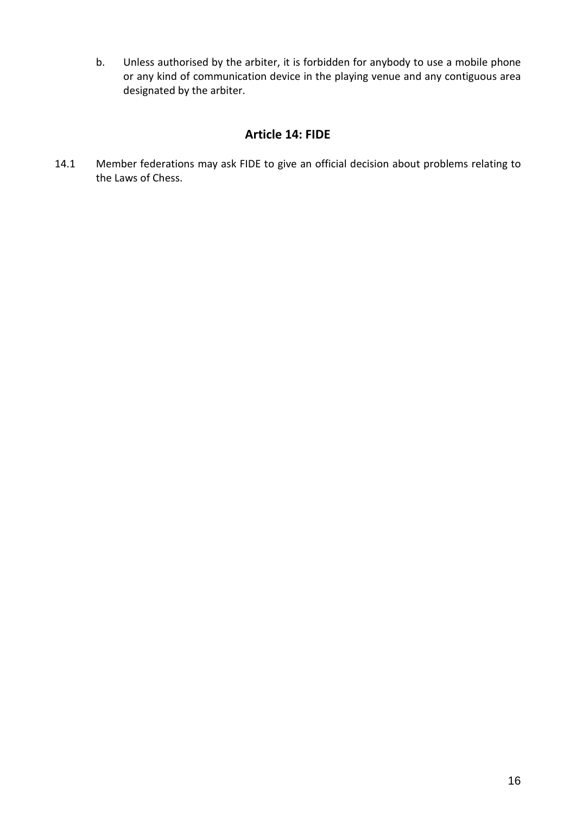b. Unless authorised by the arbiter, it is forbidden for anybody to use a mobile phone or any kind of communication device in the playing venue and any contiguous area designated by the arbiter.

### **Article 14: FIDE**

14.1 Member federations may ask FIDE to give an official decision about problems relating to the Laws of Chess.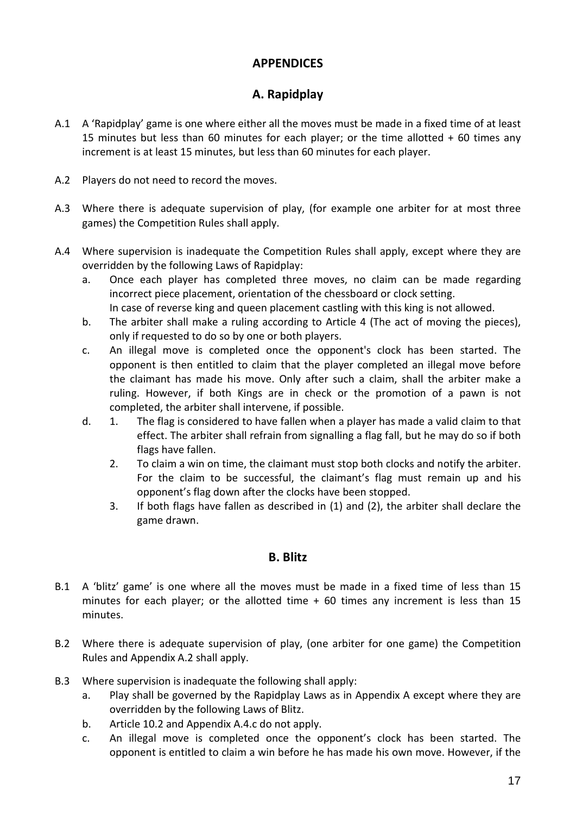# **APPENDICES**

### **A. Rapidplay**

- A.1 A 'Rapidplay' game is one where either all the moves must be made in a fixed time of at least 15 minutes but less than 60 minutes for each player; or the time allotted + 60 times any increment is at least 15 minutes, but less than 60 minutes for each player.
- A.2 Players do not need to record the moves.
- A.3 Where there is adequate supervision of play, (for example one arbiter for at most three games) the Competition Rules shall apply.
- A.4 Where supervision is inadequate the Competition Rules shall apply, except where they are overridden by the following Laws of Rapidplay:
	- a. Once each player has completed three moves, no claim can be made regarding incorrect piece placement, orientation of the chessboard or clock setting.
		- In case of reverse king and queen placement castling with this king is not allowed.
	- b. The arbiter shall make a ruling according to Article 4 (The act of moving the pieces), only if requested to do so by one or both players.
	- c. An illegal move is completed once the opponent's clock has been started. The opponent is then entitled to claim that the player completed an illegal move before the claimant has made his move. Only after such a claim, shall the arbiter make a ruling. However, if both Kings are in check or the promotion of a pawn is not completed, the arbiter shall intervene, if possible.
	- d. 1. The flag is considered to have fallen when a player has made a valid claim to that effect. The arbiter shall refrain from signalling a flag fall, but he may do so if both flags have fallen.
		- 2. To claim a win on time, the claimant must stop both clocks and notify the arbiter. For the claim to be successful, the claimant's flag must remain up and his opponent's flag down after the clocks have been stopped.
		- 3. If both flags have fallen as described in (1) and (2), the arbiter shall declare the game drawn.

#### **B. Blitz**

- B.1 A 'blitz' game' is one where all the moves must be made in a fixed time of less than 15 minutes for each player; or the allotted time  $+60$  times any increment is less than 15 minutes.
- B.2 Where there is adequate supervision of play, (one arbiter for one game) the Competition Rules and Appendix A.2 shall apply.
- B.3 Where supervision is inadequate the following shall apply:
	- a. Play shall be governed by the Rapidplay Laws as in Appendix A except where they are overridden by the following Laws of Blitz.
	- b. Article 10.2 and Appendix A.4.c do not apply.
	- c. An illegal move is completed once the opponent's clock has been started. The opponent is entitled to claim a win before he has made his own move. However, if the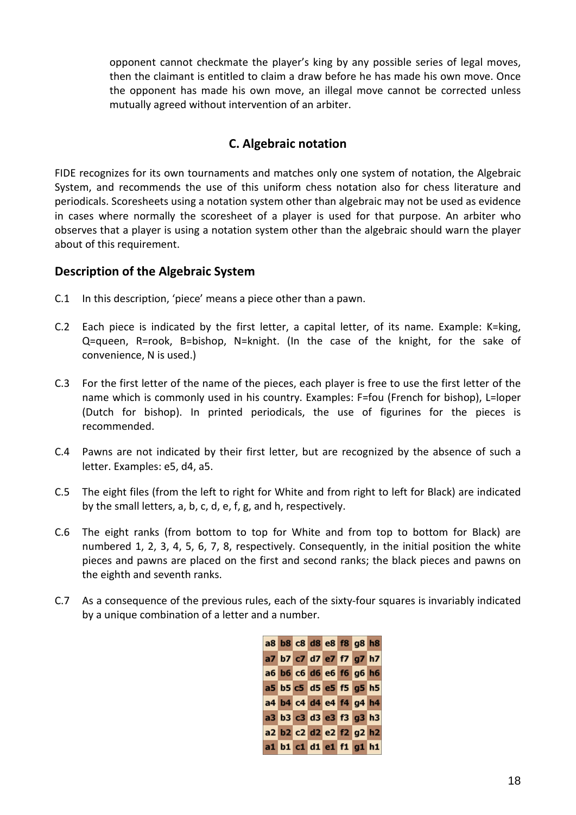opponent cannot checkmate the player's king by any possible series of legal moves, then the claimant is entitled to claim a draw before he has made his own move. Once the opponent has made his own move, an illegal move cannot be corrected unless mutually agreed without intervention of an arbiter.

### **C. Algebraic notation**

FIDE recognizes for its own tournaments and matches only one system of notation, the Algebraic System, and recommends the use of this uniform chess notation also for chess literature and periodicals. Scoresheets using a notation system other than algebraic may not be used as evidence in cases where normally the scoresheet of a player is used for that purpose. An arbiter who observes that a player is using a notation system other than the algebraic should warn the player about of this requirement.

#### **Description of the Algebraic System**

- C.1 In this description, 'piece' means a piece other than a pawn.
- C.2 Each piece is indicated by the first letter, a capital letter, of its name. Example: K=king, Q=queen, R=rook, B=bishop, N=knight. (In the case of the knight, for the sake of convenience, N is used.)
- C.3 For the first letter of the name of the pieces, each player is free to use the first letter of the name which is commonly used in his country. Examples: F=fou (French for bishop), L=loper (Dutch for bishop). In printed periodicals, the use of figurines for the pieces is recommended.
- C.4 Pawns are not indicated by their first letter, but are recognized by the absence of such a letter. Examples: e5, d4, a5.
- C.5 The eight files (from the left to right for White and from right to left for Black) are indicated by the small letters, a, b, c, d, e, f, g, and h, respectively.
- C.6 The eight ranks (from bottom to top for White and from top to bottom for Black) are numbered 1, 2, 3, 4, 5, 6, 7, 8, respectively. Consequently, in the initial position the white pieces and pawns are placed on the first and second ranks; the black pieces and pawns on the eighth and seventh ranks.
- C.7 As a consequence of the previous rules, each of the sixty-four squares is invariably indicated by a unique combination of a letter and a number.

|  |  |  | a8 b8 c8 d8 e8 f8 g8 h8 |  |
|--|--|--|-------------------------|--|
|  |  |  | a7 b7 c7 d7 e7 f7 g7 h7 |  |
|  |  |  | a6 b6 c6 d6 e6 f6 g6 h6 |  |
|  |  |  | a5 b5 c5 d5 e5 f5 g5 h5 |  |
|  |  |  | a4 b4 c4 d4 e4 f4 g4 h4 |  |
|  |  |  | a3 b3 c3 d3 e3 f3 g3 h3 |  |
|  |  |  | a2 b2 c2 d2 e2 f2 g2 h2 |  |
|  |  |  | a1 b1 c1 d1 e1 f1 g1 h1 |  |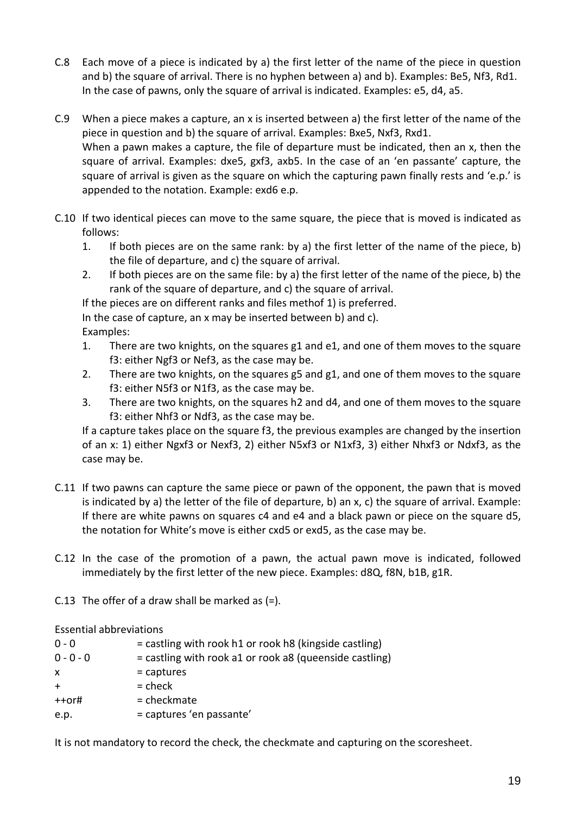- C.8 Each move of a piece is indicated by a) the first letter of the name of the piece in question and b) the square of arrival. There is no hyphen between a) and b). Examples: Be5, Nf3, Rd1. In the case of pawns, only the square of arrival is indicated. Examples: e5, d4, a5.
- C.9 When a piece makes a capture, an x is inserted between a) the first letter of the name of the piece in question and b) the square of arrival. Examples: Bxe5, Nxf3, Rxd1. When a pawn makes a capture, the file of departure must be indicated, then an x, then the square of arrival. Examples: dxe5, gxf3, axb5. In the case of an 'en passante' capture, the square of arrival is given as the square on which the capturing pawn finally rests and 'e.p.' is appended to the notation. Example: exd6 e.p.
- C.10 If two identical pieces can move to the same square, the piece that is moved is indicated as follows:
	- 1. If both pieces are on the same rank: by a) the first letter of the name of the piece, b) the file of departure, and c) the square of arrival.
	- 2. If both pieces are on the same file: by a) the first letter of the name of the piece, b) the rank of the square of departure, and c) the square of arrival.

If the pieces are on different ranks and files methof 1) is preferred.

In the case of capture, an x may be inserted between b) and c).

- Examples:
- 1. There are two knights, on the squares g1 and e1, and one of them moves to the square f3: either Ngf3 or Nef3, as the case may be.
- 2. There are two knights, on the squares g5 and g1, and one of them moves to the square f3: either N5f3 or N1f3, as the case may be.
- 3. There are two knights, on the squares h2 and d4, and one of them moves to the square f3: either Nhf3 or Ndf3, as the case may be.

If a capture takes place on the square f3, the previous examples are changed by the insertion of an x: 1) either Ngxf3 or Nexf3, 2) either N5xf3 or N1xf3, 3) either Nhxf3 or Ndxf3, as the case may be.

- C.11 If two pawns can capture the same piece or pawn of the opponent, the pawn that is moved is indicated by a) the letter of the file of departure, b) an x, c) the square of arrival. Example: If there are white pawns on squares c4 and e4 and a black pawn or piece on the square d5, the notation for White's move is either cxd5 or exd5, as the case may be.
- C.12 In the case of the promotion of a pawn, the actual pawn move is indicated, followed immediately by the first letter of the new piece. Examples: d8Q, f8N, b1B, g1R.
- C.13 The offer of a draw shall be marked as  $(=)$ .

Essential abbreviations

 $0 - 0$  = castling with rook h1 or rook h8 (kingside castling)  $0 - 0 - 0$  = castling with rook a1 or rook a8 (queenside castling)  $x =$  captures  $+$  = check ++or# = checkmate e.p.  $=$  captures 'en passante'

It is not mandatory to record the check, the checkmate and capturing on the scoresheet.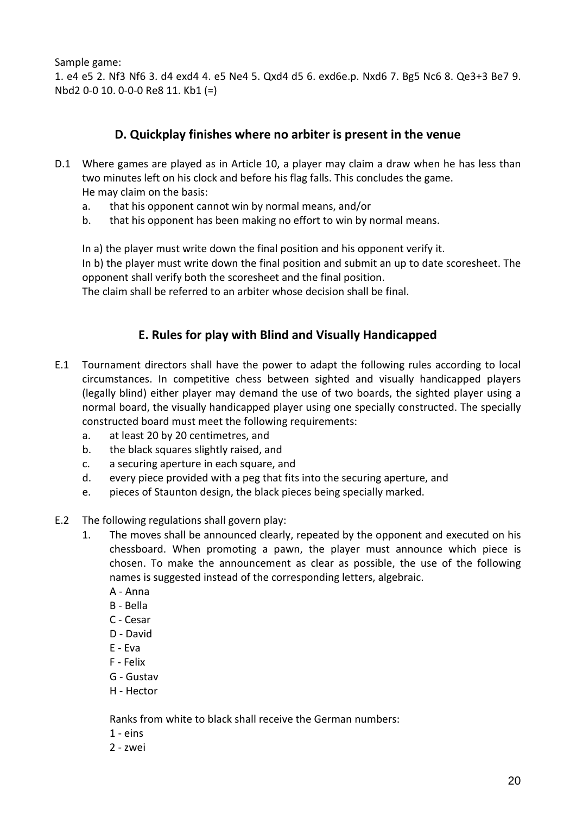Sample game:

1. e4 e5 2. Nf3 Nf6 3. d4 exd4 4. e5 Ne4 5. Qxd4 d5 6. exd6e.p. Nxd6 7. Bg5 Nc6 8. Qe3+3 Be7 9. Nbd2 0-0 10. 0-0-0 Re8 11. Kb1 (=)

### **D. Quickplay finishes where no arbiter is present in the venue**

- D.1 Where games are played as in Article 10, a player may claim a draw when he has less than two minutes left on his clock and before his flag falls. This concludes the game. He may claim on the basis:
	- a. that his opponent cannot win by normal means, and/or
	- b. that his opponent has been making no effort to win by normal means.
	- In a) the player must write down the final position and his opponent verify it.

In b) the player must write down the final position and submit an up to date scoresheet. The opponent shall verify both the scoresheet and the final position.

The claim shall be referred to an arbiter whose decision shall be final.

### **E. Rules for play with Blind and Visually Handicapped**

- E.1 Tournament directors shall have the power to adapt the following rules according to local circumstances. In competitive chess between sighted and visually handicapped players (legally blind) either player may demand the use of two boards, the sighted player using a normal board, the visually handicapped player using one specially constructed. The specially constructed board must meet the following requirements:
	- a. at least 20 by 20 centimetres, and
	- b. the black squares slightly raised, and
	- c. a securing aperture in each square, and
	- d. every piece provided with a peg that fits into the securing aperture, and
	- e. pieces of Staunton design, the black pieces being specially marked.
- E.2 The following regulations shall govern play:
	- 1. The moves shall be announced clearly, repeated by the opponent and executed on his chessboard. When promoting a pawn, the player must announce which piece is chosen. To make the announcement as clear as possible, the use of the following names is suggested instead of the corresponding letters, algebraic.
		- A Anna
		- B Bella
		- C Cesar
		- D David
		- E Eva
		- F Felix
		- G Gustav
		- H Hector

Ranks from white to black shall receive the German numbers:

- $1 eins$
- 2 zwei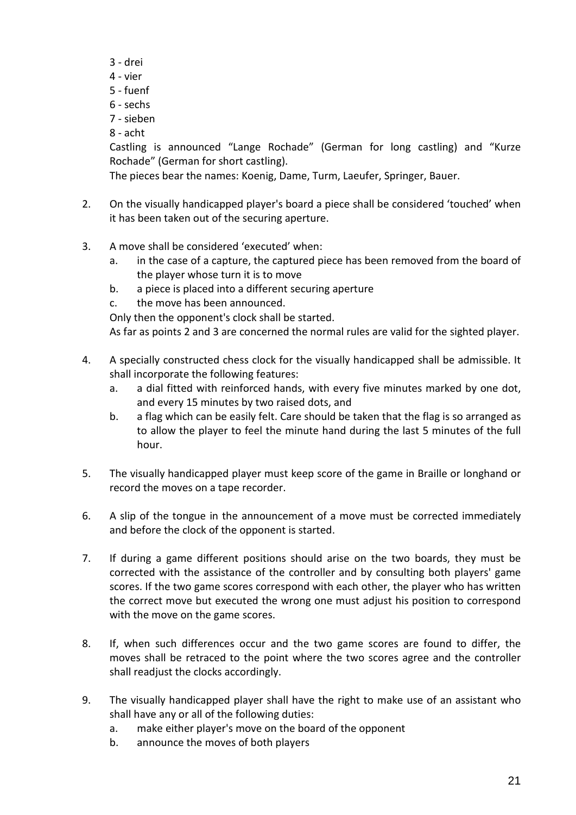- 3 drei
- 4 vier
- 5 fuenf
- 6 sechs
- 7 sieben
- 8 acht

Castling is announced "Lange Rochade" (German for long castling) and "Kurze Rochade" (German for short castling).

The pieces bear the names: Koenig, Dame, Turm, Laeufer, Springer, Bauer.

- 2. On the visually handicapped player's board a piece shall be considered 'touched' when it has been taken out of the securing aperture.
- 3. A move shall be considered 'executed' when:
	- a. in the case of a capture, the captured piece has been removed from the board of the player whose turn it is to move
	- b. a piece is placed into a different securing aperture
	- c. the move has been announced.

Only then the opponent's clock shall be started.

As far as points 2 and 3 are concerned the normal rules are valid for the sighted player.

- 4. A specially constructed chess clock for the visually handicapped shall be admissible. It shall incorporate the following features:
	- a. a dial fitted with reinforced hands, with every five minutes marked by one dot, and every 15 minutes by two raised dots, and
	- b. a flag which can be easily felt. Care should be taken that the flag is so arranged as to allow the player to feel the minute hand during the last 5 minutes of the full hour.
- 5. The visually handicapped player must keep score of the game in Braille or longhand or record the moves on a tape recorder.
- 6. A slip of the tongue in the announcement of a move must be corrected immediately and before the clock of the opponent is started.
- 7. If during a game different positions should arise on the two boards, they must be corrected with the assistance of the controller and by consulting both players' game scores. If the two game scores correspond with each other, the player who has written the correct move but executed the wrong one must adjust his position to correspond with the move on the game scores.
- 8. If, when such differences occur and the two game scores are found to differ, the moves shall be retraced to the point where the two scores agree and the controller shall readjust the clocks accordingly.
- 9. The visually handicapped player shall have the right to make use of an assistant who shall have any or all of the following duties:
	- a. make either player's move on the board of the opponent
	- b. announce the moves of both players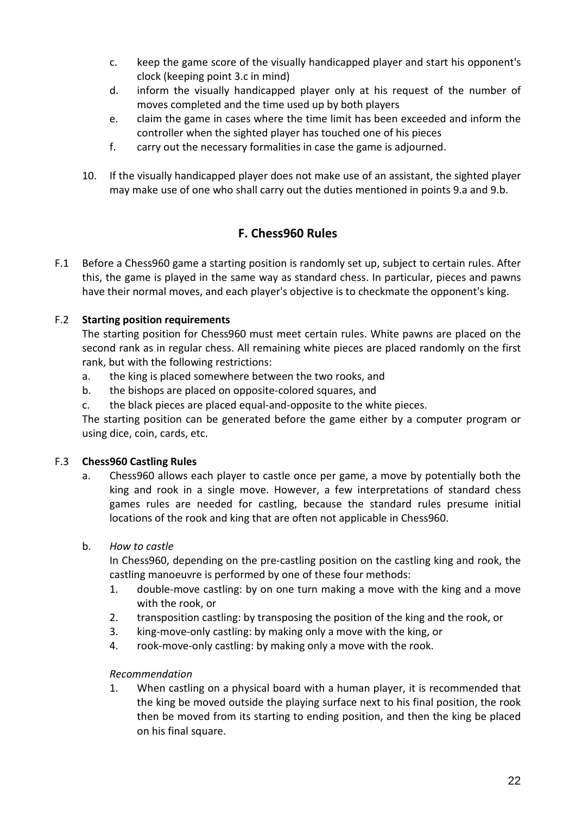- c. keep the game score of the visually handicapped player and start his opponent's clock (keeping point 3.c in mind)
- d. inform the visually handicapped player only at his request of the number of moves completed and the time used up by both players
- e. claim the game in cases where the time limit has been exceeded and inform the controller when the sighted player has touched one of his pieces
- f. carry out the necessary formalities in case the game is adjourned.
- 10. If the visually handicapped player does not make use of an assistant, the sighted player may make use of one who shall carry out the duties mentioned in points 9.a and 9.b.

# **F. Chess960 Rules**

F.1 Before a Chess960 game a starting position is randomly set up, subject to certain rules. After this, the game is played in the same way as standard chess. In particular, pieces and pawns have their normal moves, and each player's objective is to checkmate the opponent's king.

#### F.2 **Starting position requirements**

The starting position for Chess960 must meet certain rules. White pawns are placed on the second rank as in regular chess. All remaining white pieces are placed randomly on the first rank, but with the following restrictions:

- a. the king is placed somewhere between the two rooks, and
- b. the bishops are placed on opposite-colored squares, and
- c. the black pieces are placed equal-and-opposite to the white pieces.

The starting position can be generated before the game either by a computer program or using dice, coin, cards, etc.

#### F.3 **Chess960 Castling Rules**

a. Chess960 allows each player to castle once per game, a move by potentially both the king and rook in a single move. However, a few interpretations of standard chess games rules are needed for castling, because the standard rules presume initial locations of the rook and king that are often not applicable in Chess960.

#### b. *How to castle*

In Chess960, depending on the pre-castling position on the castling king and rook, the castling manoeuvre is performed by one of these four methods:

- 1. double-move castling: by on one turn making a move with the king and a move with the rook, or
- 2. transposition castling: by transposing the position of the king and the rook, or
- 3. king-move-only castling: by making only a move with the king, or
- 4. rook-move-only castling: by making only a move with the rook.

#### *Recommendation*

1. When castling on a physical board with a human player, it is recommended that the king be moved outside the playing surface next to his final position, the rook then be moved from its starting to ending position, and then the king be placed on his final square.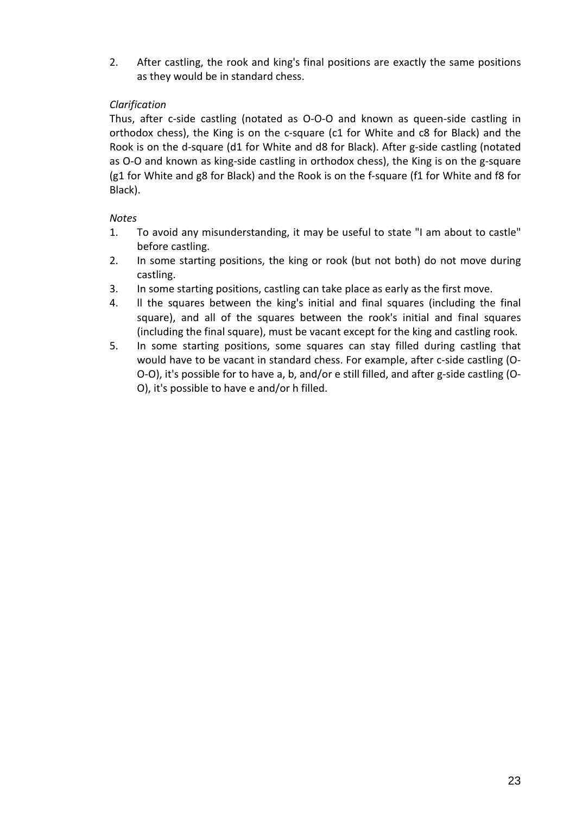2. After castling, the rook and king's final positions are exactly the same positions as they would be in standard chess.

#### *Clarification*

Thus, after c-side castling (notated as O-O-O and known as queen-side castling in orthodox chess), the King is on the c-square (c1 for White and c8 for Black) and the Rook is on the d-square (d1 for White and d8 for Black). After g-side castling (notated as O-O and known as king-side castling in orthodox chess), the King is on the g-square (g1 for White and g8 for Black) and the Rook is on the f-square (f1 for White and f8 for Black).

*Notes*

- 1. To avoid any misunderstanding, it may be useful to state "I am about to castle" before castling.
- 2. In some starting positions, the king or rook (but not both) do not move during castling.
- 3. In some starting positions, castling can take place as early as the first move.
- 4. ll the squares between the king's initial and final squares (including the final square), and all of the squares between the rook's initial and final squares (including the final square), must be vacant except for the king and castling rook.
- 5. In some starting positions, some squares can stay filled during castling that would have to be vacant in standard chess. For example, after c-side castling (O-O-O), it's possible for to have a, b, and/or e still filled, and after g-side castling (O-O), it's possible to have e and/or h filled.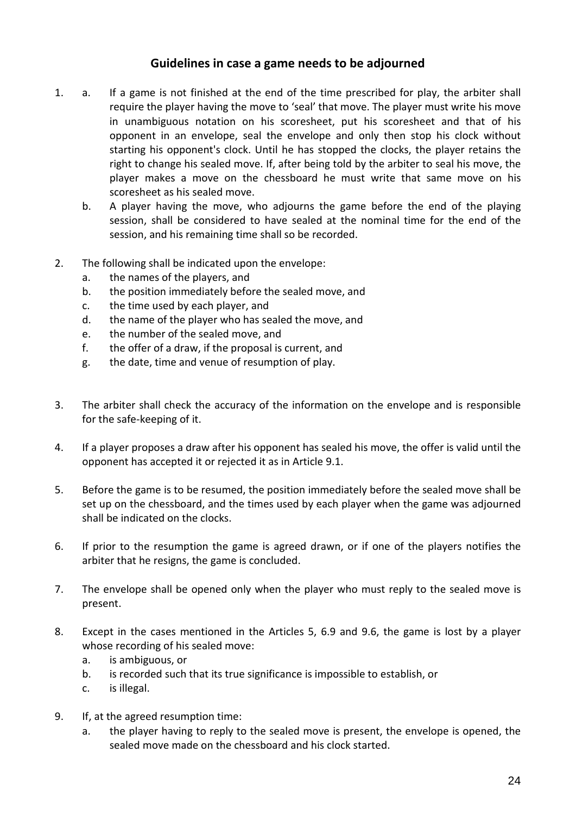#### **Guidelines in case a game needs to be adjourned**

- 1. a. If a game is not finished at the end of the time prescribed for play, the arbiter shall require the player having the move to 'seal' that move. The player must write his move in unambiguous notation on his scoresheet, put his scoresheet and that of his opponent in an envelope, seal the envelope and only then stop his clock without starting his opponent's clock. Until he has stopped the clocks, the player retains the right to change his sealed move. If, after being told by the arbiter to seal his move, the player makes a move on the chessboard he must write that same move on his scoresheet as his sealed move.
	- b. A player having the move, who adjourns the game before the end of the playing session, shall be considered to have sealed at the nominal time for the end of the session, and his remaining time shall so be recorded.
- 2. The following shall be indicated upon the envelope:
	- a. the names of the players, and
	- b. the position immediately before the sealed move, and
	- c. the time used by each player, and
	- d. the name of the player who has sealed the move, and
	- e. the number of the sealed move, and
	- f. the offer of a draw, if the proposal is current, and
	- g. the date, time and venue of resumption of play.
- 3. The arbiter shall check the accuracy of the information on the envelope and is responsible for the safe-keeping of it.
- 4. If a player proposes a draw after his opponent has sealed his move, the offer is valid until the opponent has accepted it or rejected it as in Article 9.1.
- 5. Before the game is to be resumed, the position immediately before the sealed move shall be set up on the chessboard, and the times used by each player when the game was adjourned shall be indicated on the clocks.
- 6. If prior to the resumption the game is agreed drawn, or if one of the players notifies the arbiter that he resigns, the game is concluded.
- 7. The envelope shall be opened only when the player who must reply to the sealed move is present.
- 8. Except in the cases mentioned in the Articles 5, 6.9 and 9.6, the game is lost by a player whose recording of his sealed move:
	- a. is ambiguous, or
	- b. is recorded such that its true significance is impossible to establish, or
	- c. is illegal.
- 9. If, at the agreed resumption time:
	- a. the player having to reply to the sealed move is present, the envelope is opened, the sealed move made on the chessboard and his clock started.